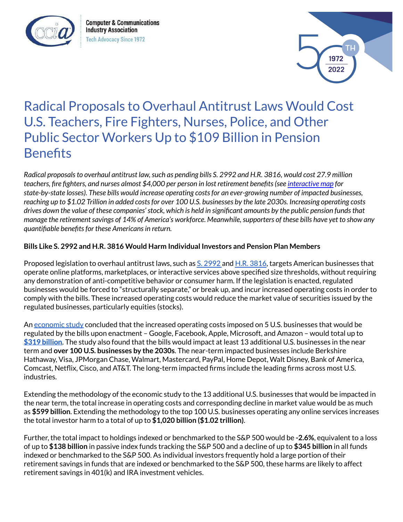

**Computer & Communications Industry Association Tech Advocacy Since 1972** 



## Radical Proposals to Overhaul Antitrust Laws Would Cost U.S. Teachers, Fire Fighters, Nurses, Police, and Other Public Sector Workers Up to \$109 Billion in Pension **Benefits**

Radical proposals to overhaul antitrust law, such as pending bills S. 2992 and H.R. 3816, would cost 27.9 million *teachers, fire fighters, and nurses almost \$4,000 per person in lost retirement benefits(see [interactive](https://www.ccianet.org/research/cost-tech-regulatory-bills-state-local-pension-plans/) map for state-by-state losses). These bills would increase operating costsfor an ever-growing number of impacted businesses,* reaching up to \$1.02 Trillion in added costs for over 100 U.S. businesses by the late 2030s. Increasing operating costs drives down the value of these companies' stock, which is held in significant amounts by the public pension funds that manage the retirement savings of 14% of America's workforce. Meanwhile, supporters of these bills have yet to show any *quantifiable benefitsfor these Americansin return.*

## **Bills Like S. 2992 and H.R. 3816 Would Harm Individual Investors and Pension Plan Members**

Proposed legislation to overhaul antitrust laws, such as S. [2992](https://www.congress.gov/bill/117th-congress/senate-bill/2992) and H.R. [3816](https://www.congress.gov/bill/117th-congress/house-bill/3816), targets American businesses that operate online platforms, marketplaces, or interactive services above specified size thresholds, without requiring any demonstration of anti-competitive behavior or consumer harm. If the legislation is enacted, regulated businesses would be forced to "structurally separate," or break up, and incur increased operating costs in order to comply with the bills. These increased operating costs would reduce the market value of securities issued by the regulated businesses, particularly equities (stocks).

An [economic](https://www.nera.com/publications/archive/case-project-experience/nera-study-estimates-cost-of-online-platform-and-marketplace-reg.html) study concluded that the increased operating costs imposed on 5 U.S. businesses that would be regulated by the bills upon enactment – Google, Facebook, Apple, Microsoft, and Amazon – would total up to **\$319 [billion](https://www.ccianet.org/wp-content/uploads/2022/03/22-CCIA-002-CCIA-NERA-Study-Handout-V4_1.pdf)**. The study also found that the bills would impact at least 13 additional U.S. businesses in the near term and **over 100 U.S. businesses by the 2030s**. The near-term impacted businesses include Berkshire Hathaway, Visa, JPMorgan Chase, Walmart, Mastercard, PayPal, Home Depot, Walt Disney, Bank of America, Comcast, Netflix, Cisco, and AT&T. The long-term impacted firms include the leading firms across most U.S. industries.

Extending the methodology of the economic study to the 13 additional U.S. businesses that would be impacted in the near term, the total increase in operating costs and corresponding decline in market value would be as much as **\$599 billion**. Extending the methodology to the top 100 U.S. businesses operating any online services increases the total investor harm to a total of up to **\$1,020 billion (\$1.02 trillion)**.

Further, the total impact to holdings indexed or benchmarked to the S&P 500 would be **-2.6%**, equivalent to a loss of up to **\$138 billion** in passive index funds tracking the S&P 500 and a decline of up to **\$345 billion** in all funds indexed or benchmarked to the S&P 500. As individual investors frequently hold a large portion of their retirement savings in funds that are indexed or benchmarked to the S&P 500, these harms are likely to affect retirement savings in 401(k) and IRA investment vehicles.